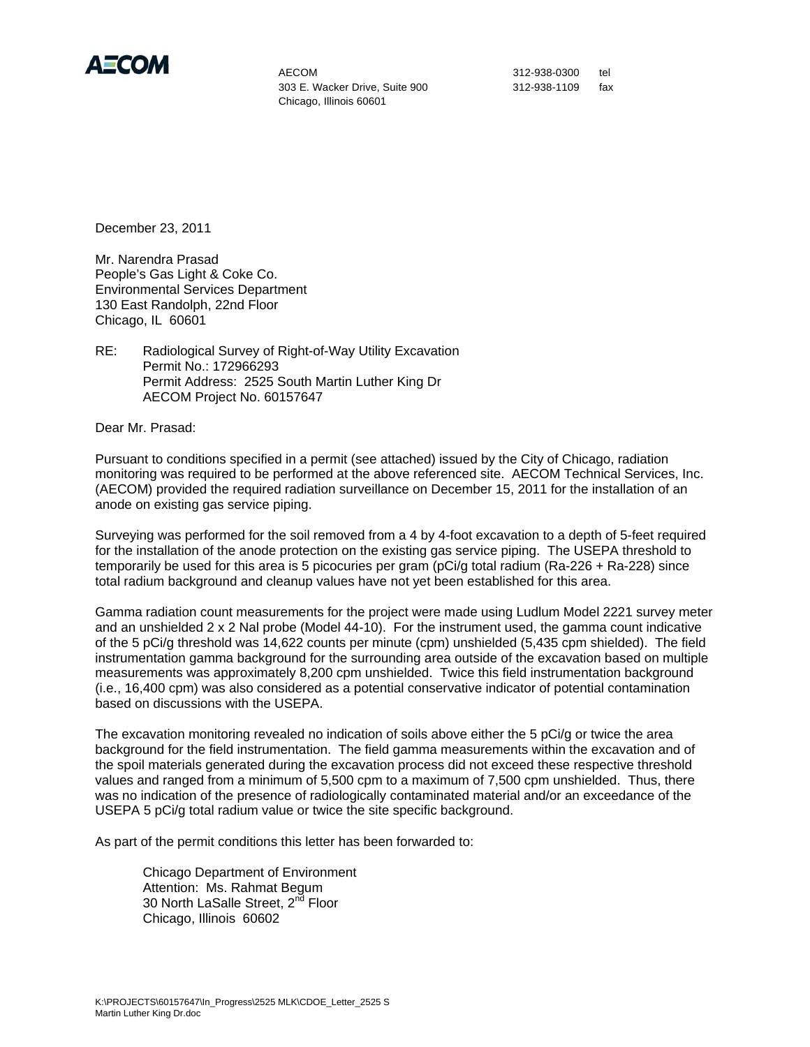

 303 E. Wacker Drive, Suite 900 312-938-1109 fax Chicago, Illinois 60601

December 23, 2011

Mr. Narendra Prasad People's Gas Light & Coke Co. Environmental Services Department 130 East Randolph, 22nd Floor Chicago, IL 60601

RE: Radiological Survey of Right-of-Way Utility Excavation Permit No.: 172966293 Permit Address: 2525 South Martin Luther King Dr AECOM Project No. 60157647

Dear Mr. Prasad:

Pursuant to conditions specified in a permit (see attached) issued by the City of Chicago, radiation monitoring was required to be performed at the above referenced site. AECOM Technical Services, Inc. (AECOM) provided the required radiation surveillance on December 15, 2011 for the installation of an anode on existing gas service piping.

Surveying was performed for the soil removed from a 4 by 4-foot excavation to a depth of 5-feet required for the installation of the anode protection on the existing gas service piping. The USEPA threshold to temporarily be used for this area is 5 picocuries per gram (pCi/g total radium (Ra-226 + Ra-228) since total radium background and cleanup values have not yet been established for this area.

Gamma radiation count measurements for the project were made using Ludlum Model 2221 survey meter and an unshielded 2 x 2 Nal probe (Model 44-10). For the instrument used, the gamma count indicative of the 5 pCi/g threshold was 14,622 counts per minute (cpm) unshielded (5,435 cpm shielded). The field instrumentation gamma background for the surrounding area outside of the excavation based on multiple measurements was approximately 8,200 cpm unshielded. Twice this field instrumentation background (i.e., 16,400 cpm) was also considered as a potential conservative indicator of potential contamination based on discussions with the USEPA.

The excavation monitoring revealed no indication of soils above either the 5 pCi/g or twice the area background for the field instrumentation. The field gamma measurements within the excavation and of the spoil materials generated during the excavation process did not exceed these respective threshold values and ranged from a minimum of 5,500 cpm to a maximum of 7,500 cpm unshielded. Thus, there was no indication of the presence of radiologically contaminated material and/or an exceedance of the USEPA 5 pCi/g total radium value or twice the site specific background.

As part of the permit conditions this letter has been forwarded to:

 Chicago Department of Environment Attention: Ms. Rahmat Begum 30 North LaSalle Street, 2<sup>nd</sup> Floor Chicago, Illinois 60602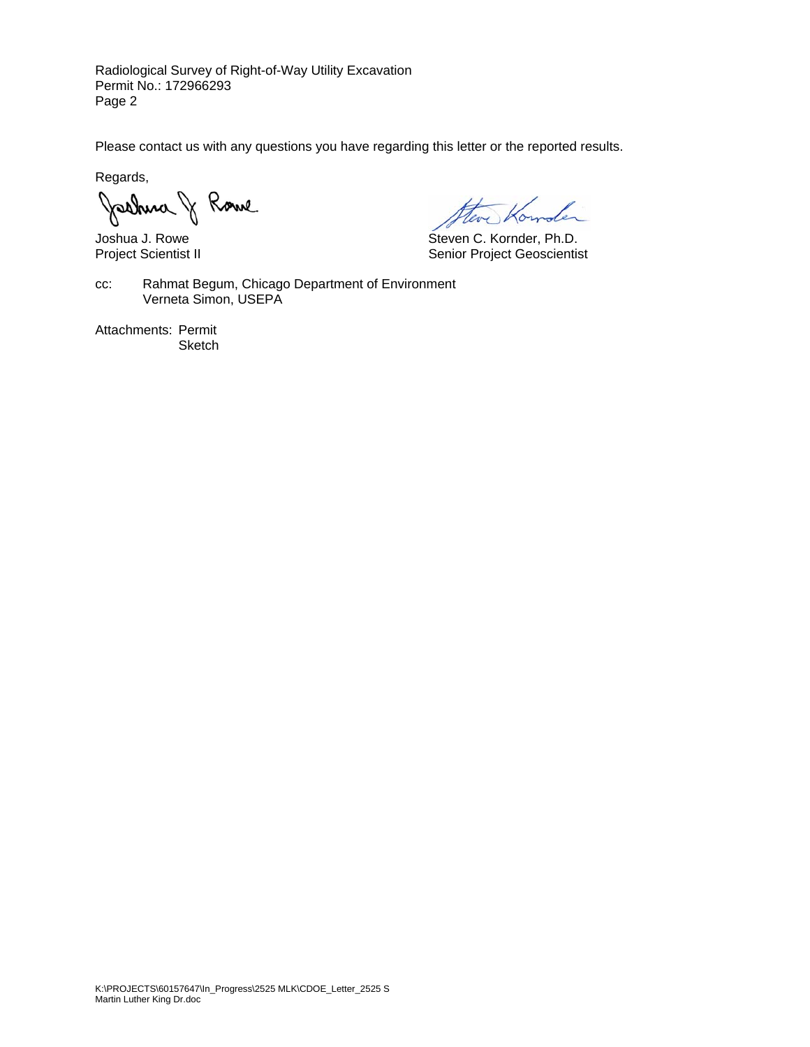Radiological Survey of Right-of-Way Utility Excavation Permit No.: 172966293 Page 2

Please contact us with any questions you have regarding this letter or the reported results.

Regards,

Joshua J. Rowe<br>Joshua J. Rowe<br>Project Scientist II Senior Project Geoscientis

Senior Project Geoscientist

cc: Rahmat Begum, Chicago Department of Environment Verneta Simon, USEPA

Attachments: Permit **Sketch**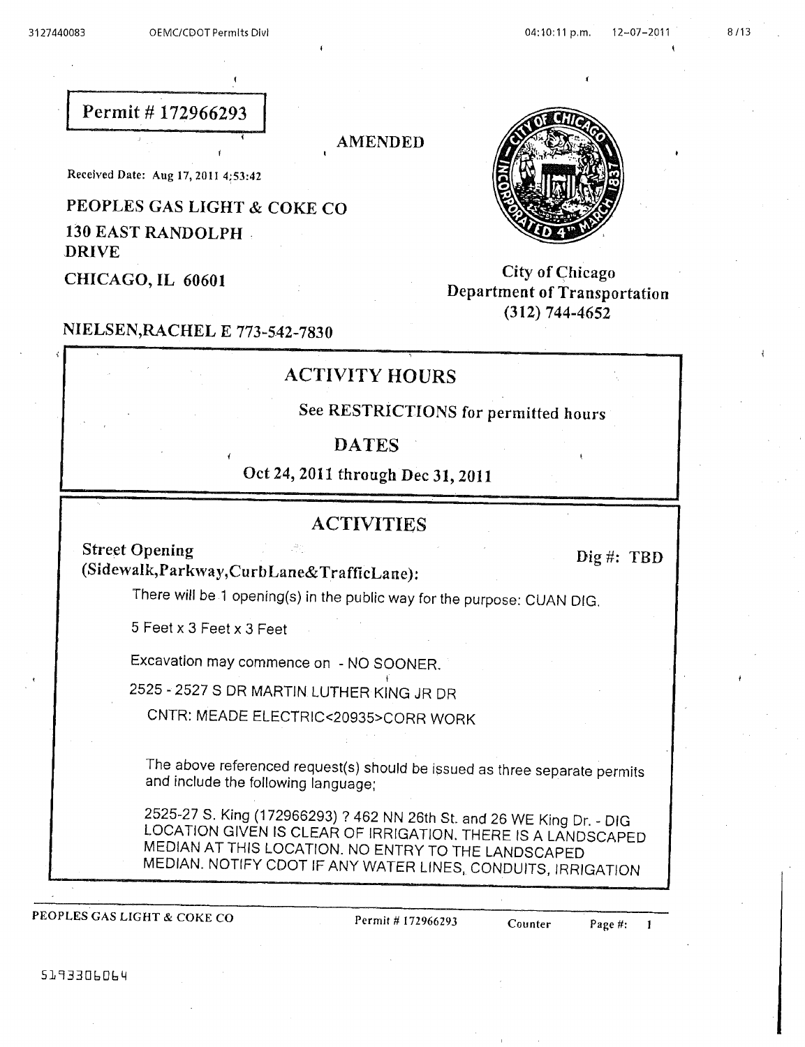## Permit #172966293

**AMENDED** 

Received Date: Aug 17, 2011 4:53:42

## PEOPLES GAS LIGHT & COKE CO

130 EAST RANDOLPH **DRIVE** 

CHICAGO, IL 60601

# NIELSEN, RACHEL E 773-542-7830

## **ACTIVITY HOURS**

See RESTRICTIONS for permitted hours

#### **DATES**

Oct 24, 2011 through Dec 31, 2011

#### **ACTIVITIES**

**Street Opening** (Sidewalk, Parkway, CurbLane& TrafficLane):

There will be 1 opening(s) in the public way for the purpose: CUAN DIG.

5 Feet x 3 Feet x 3 Feet

Excavation may commence on - NO SOONER.

2525 - 2527 S DR MARTIN LUTHER KING JR DR

CNTR: MEADE ELECTRIC<20935>CORR WORK

The above referenced request(s) should be issued as three separate permits and include the following language;

2525-27 S. King (172966293) ? 462 NN 26th St. and 26 WE King Dr. - DIG LOCATION GIVEN IS CLEAR OF IRRIGATION. THERE IS A LANDSCAPED MEDIAN AT THIS LOCATION. NO ENTRY TO THE LANDSCAPED MEDIAN. NOTIFY CDOT IF ANY WATER LINES, CONDUITS, IRRIGATION

PEOPLES GAS LIGHT & COKE CO

Permit # 172966293

Page #:  $\mathbf{1}$ 



**City of Chicago** 

Department of Transportation  $(312)$  744-4652

Dig #:  $TBD$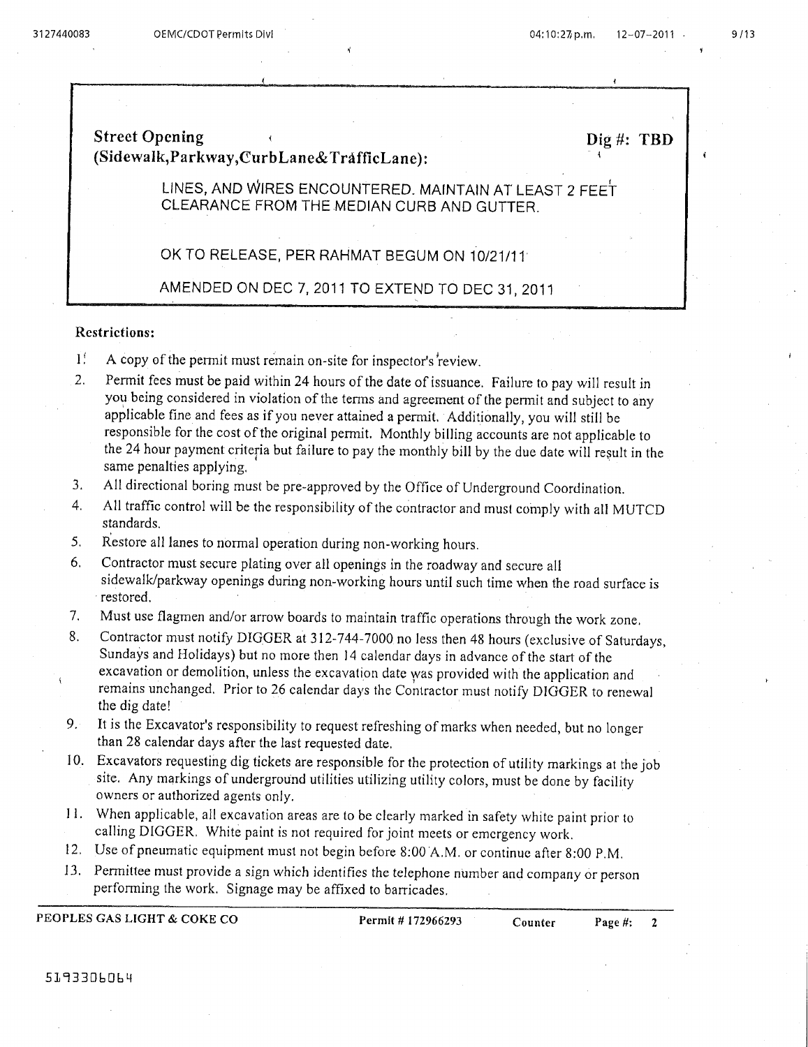### **Street Opening** (Sidewalk, Parkway, CurbLane& TrafficLane):

 $Die$ #: TBD

LINES, AND WIRES ENCOUNTERED. MAINTAIN AT LEAST 2 FEET CLEARANCE FROM THE MEDIAN CURB AND GUTTER.

#### OK TO RELEASE, PER RAHMAT BEGUM ON 10/21/11

AMENDED ON DEC 7, 2011 TO EXTEND TO DEC 31, 2011

#### **Restrictions:**

- É A copy of the permit must remain on-site for inspector's review.
- $2.$ Permit fees must be paid within 24 hours of the date of issuance. Failure to pay will result in you being considered in violation of the terms and agreement of the permit and subject to any applicable fine and fees as if you never attained a permit. Additionally, you will still be responsible for the cost of the original permit. Monthly billing accounts are not applicable to the 24 hour payment criteria but failure to pay the monthly bill by the due date will result in the same penalties applying.
- All directional boring must be pre-approved by the Office of Underground Coordination. 3.
- All traffic control will be the responsibility of the contractor and must comply with all MUTCD  $\mathbf{4}$ . standards.
- Restore all lanes to normal operation during non-working hours.  $5.$
- 6. Contractor must secure plating over all openings in the roadway and secure all sidewalk/parkway openings during non-working hours until such time when the road surface is restored.
- $7<sub>1</sub>$ Must use flagmen and/or arrow boards to maintain traffic operations through the work zone.
- 8. Contractor must notify DIGGER at 312-744-7000 no less then 48 hours (exclusive of Saturdays, Sundays and Holidays) but no more then 14 calendar days in advance of the start of the excavation or demolition, unless the excavation date was provided with the application and remains unchanged. Prior to 26 calendar days the Contractor must notify DIGGER to renewal the dig date!
- $9.1$ It is the Excavator's responsibility to request refreshing of marks when needed, but no longer than 28 calendar days after the last requested date.
- 10. Excavators requesting dig tickets are responsible for the protection of utility markings at the job site. Any markings of underground utilities utilizing utility colors, must be done by facility owners or authorized agents only.
- 11. When applicable, all excavation areas are to be clearly marked in safety white paint prior to calling DIGGER. White paint is not required for joint meets or emergency work.
- 12. Use of pneumatic equipment must not begin before 8:00 A.M. or continue after 8:00 P.M.
- 13. Permittee must provide a sign which identifies the telephone number and company or person performing the work. Signage may be affixed to barricades.

PEOPLES GAS LIGHT & COKE CO

Permit #172966293

 $\overline{2}$ 

Counter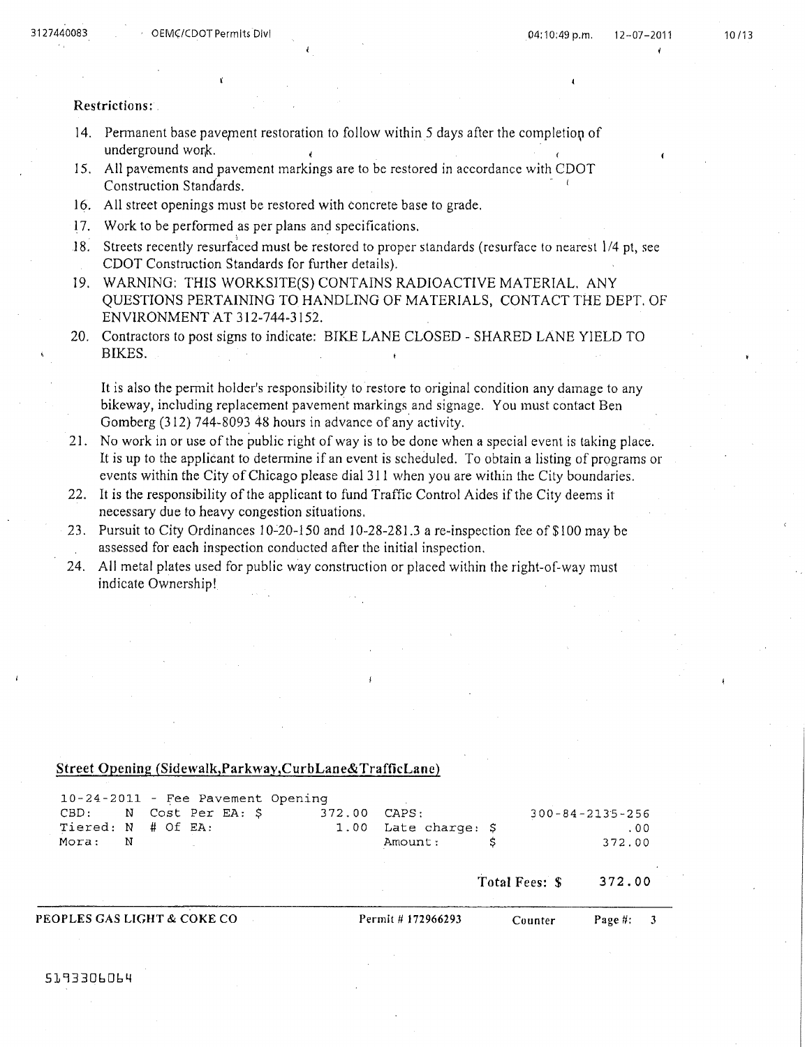#### Restrictions:

- 14. Permanent base pavement restoration to follow within 5 days after the completion of underground work.
- 15. All pavements and pavement markings are to be restored in accordance with CDOT Construction Standards.
- 16. All street openings must be restored with concrete base to grade.
- 17. Work to be performed as per plans and specifications.
- 18. Streets recently resurfaced must be restored to proper standards (resurface to nearest 1/4 pt, see CDOT Construction Standards for further details).
- 19. WARNING: THIS WORKSITE(S) CONTAINS RADIOACTIVE MATERIAL. ANY QUESTIONS PERTAINING TO HANDLING OF MATERIALS, CONTACT THE DEPT. OF ENVIRONMENT AT 312-744-3152.
- 20. Contractors to post signs to indicate: BIKE LANE CLOSED SHARED LANE YIELD TO BIKES.

It is also the permit holder's responsibility to restore to original condition any damage to any bikeway, including replacement pavement markings and signage. You must contact Ben Gomberg (312) 744-8093 48 hours in advance of any activity.

- 21. No work in or use of the public right of way is to be done when a special event is taking place. It is up to the applicant to determine if an event is scheduled. To obtain a listing of programs or events within the City of Chicago please dial 311 when you are within the City boundaries.
- 22. It is the responsibility of the applicant to fund Traffic Control Aides if the City deems it necessary due to heavy congestion situations.
- Pursuit to City Ordinances 10-20-150 and 10-28-281.3 a re-inspection fee of \$100 may be  $23.$ assessed for each inspection conducted after the initial inspection.
- 24. All metal plates used for public way construction or placed within the right-of-way must indicate Ownership!

#### Street Opening (Sidewalk, Parkway, CurbLane& TrafficLane)

|                        |   |  |  |                                   |                 | Total Fees: \$ | 372.00                  |
|------------------------|---|--|--|-----------------------------------|-----------------|----------------|-------------------------|
| Mora:                  | N |  |  |                                   | Amount:         |                | 372.00                  |
| Tiered: N # Of EA:     |   |  |  | 1.00                              | Late charge: \$ |                | .00                     |
| CBD: N Cost Per EA: \$ |   |  |  | 372.00                            | CAPS:           |                | $300 - 84 - 2135 - 256$ |
|                        |   |  |  | 10-24-2011 - Fee Pavement Opening |                 |                |                         |

PEOPLES GAS LIGHT & COKE CO

Permit # 172966293

Page #:

 $\mathbf{3}$ 

Counter

5193306064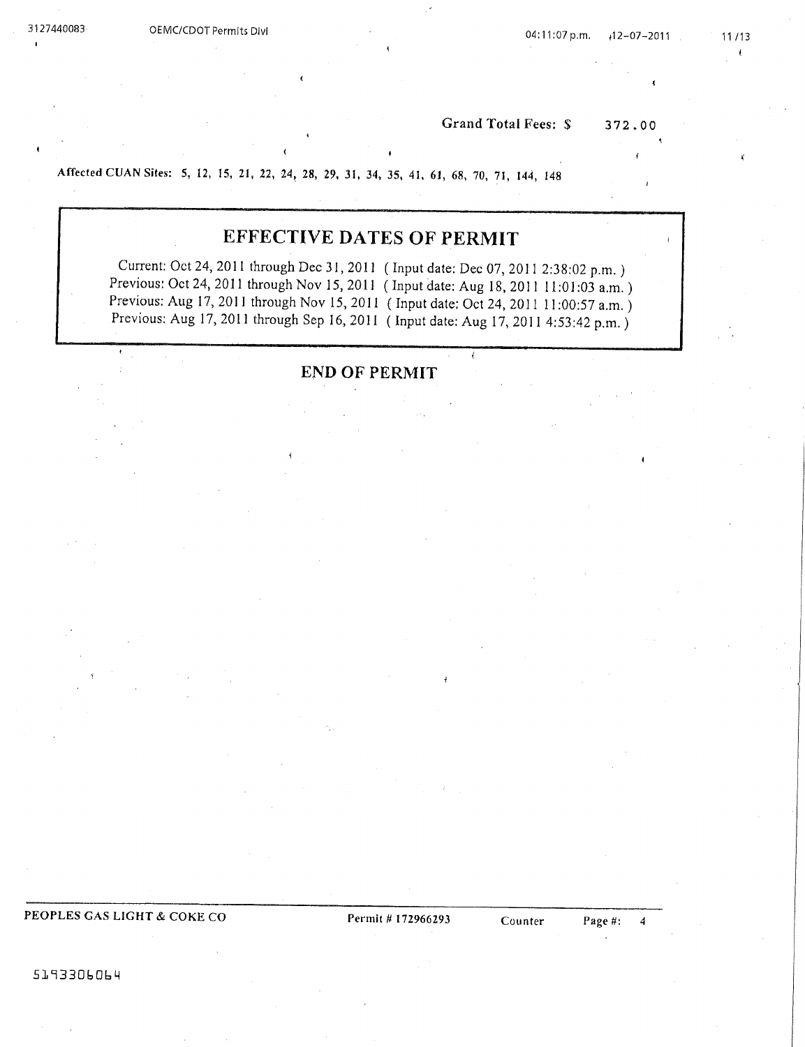$\mathbf{r}$ 

Grand Total Fees: \$ 372.00

Affected CUAN Sites: 5, 12, 15, 21, 22, 24, 28, 29, 31, 34, 35, 41, 61, 68, 70, 71, 144, 148

# **EFFECTIVE DATES OF PERMIT**

Current: Oct 24, 2011 through Dec 31, 2011 (Input date: Dec 07, 2011 2:38:02 p.m.) Previous: Oct 24, 2011 through Nov 15, 2011 (Input date: Aug 18, 2011 11:01:03 a.m.) Previous: Aug 17, 2011 through Nov 15, 2011 (Input date: Oct 24, 2011 11:00:57 a.m.) Previous: Aug 17, 2011 through Sep 16, 2011 (Input date: Aug 17, 2011 4:53:42 p.m.)

**END OF PERMIT** 

PEOPLES GAS LIGHT & COKE CO

Permit # 172966293

5193306064